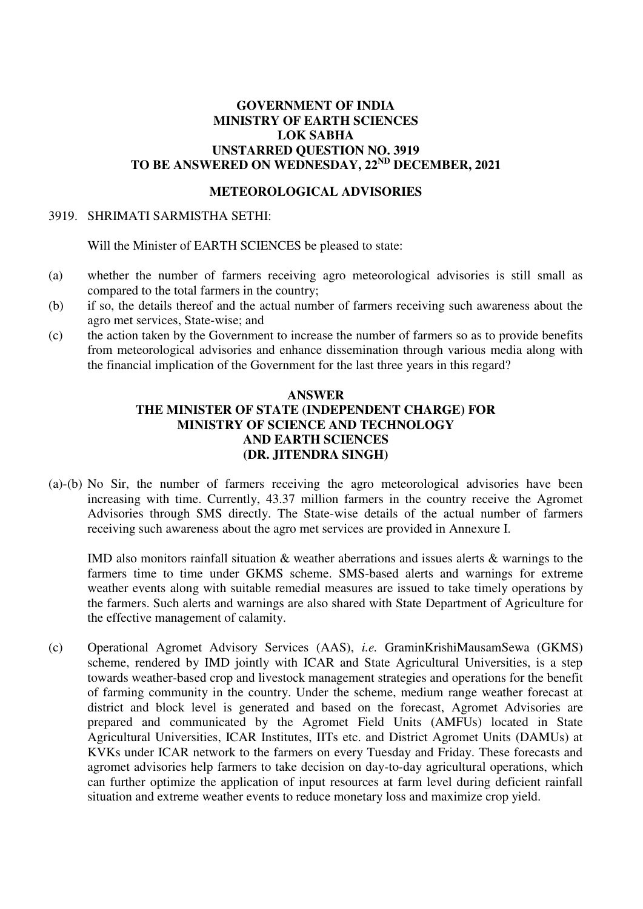## **GOVERNMENT OF INDIA MINISTRY OF EARTH SCIENCES LOK SABHA UNSTARRED QUESTION NO. 3919 TO BE ANSWERED ON WEDNESDAY, 22ND DECEMBER, 2021**

## **METEOROLOGICAL ADVISORIES**

#### 3919. SHRIMATI SARMISTHA SETHI:

Will the Minister of EARTH SCIENCES be pleased to state:

- (a) whether the number of farmers receiving agro meteorological advisories is still small as compared to the total farmers in the country;
- (b) if so, the details thereof and the actual number of farmers receiving such awareness about the agro met services, State-wise; and
- (c) the action taken by the Government to increase the number of farmers so as to provide benefits from meteorological advisories and enhance dissemination through various media along with the financial implication of the Government for the last three years in this regard?

### **ANSWER THE MINISTER OF STATE (INDEPENDENT CHARGE) FOR MINISTRY OF SCIENCE AND TECHNOLOGY AND EARTH SCIENCES (DR. JITENDRA SINGH)**

(a)-(b) No Sir, the number of farmers receiving the agro meteorological advisories have been increasing with time. Currently, 43.37 million farmers in the country receive the Agromet Advisories through SMS directly. The State-wise details of the actual number of farmers receiving such awareness about the agro met services are provided in Annexure I.

IMD also monitors rainfall situation & weather aberrations and issues alerts & warnings to the farmers time to time under GKMS scheme. SMS-based alerts and warnings for extreme weather events along with suitable remedial measures are issued to take timely operations by the farmers. Such alerts and warnings are also shared with State Department of Agriculture for the effective management of calamity.

(c) Operational Agromet Advisory Services (AAS), *i.e.* GraminKrishiMausamSewa (GKMS) scheme, rendered by IMD jointly with ICAR and State Agricultural Universities, is a step towards weather-based crop and livestock management strategies and operations for the benefit of farming community in the country. Under the scheme, medium range weather forecast at district and block level is generated and based on the forecast, Agromet Advisories are prepared and communicated by the Agromet Field Units (AMFUs) located in State Agricultural Universities, ICAR Institutes, IITs etc. and District Agromet Units (DAMUs) at KVKs under ICAR network to the farmers on every Tuesday and Friday. These forecasts and agromet advisories help farmers to take decision on day-to-day agricultural operations, which can further optimize the application of input resources at farm level during deficient rainfall situation and extreme weather events to reduce monetary loss and maximize crop yield.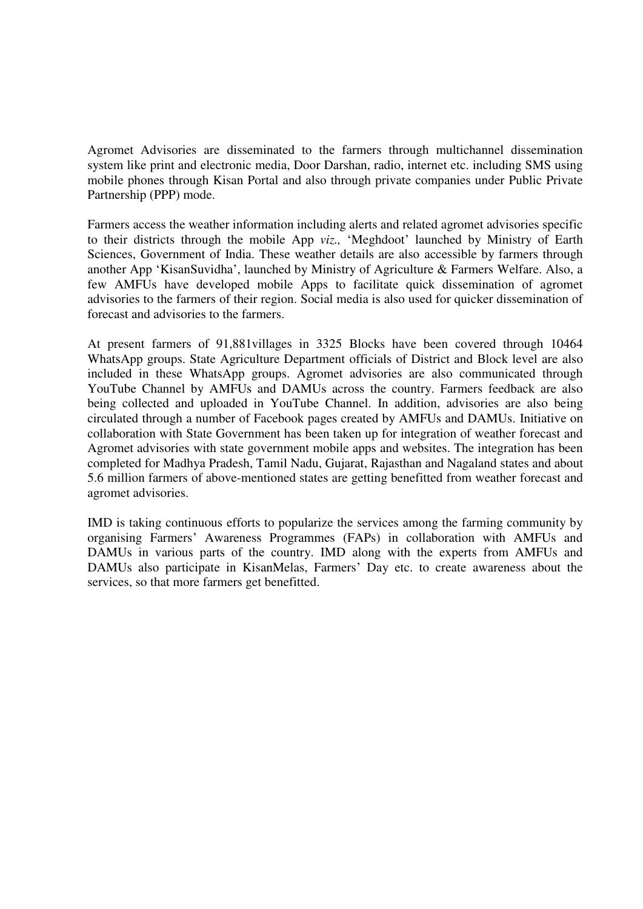Agromet Advisories are disseminated to the farmers through multichannel dissemination system like print and electronic media, Door Darshan, radio, internet etc. including SMS using mobile phones through Kisan Portal and also through private companies under Public Private Partnership (PPP) mode.

Farmers access the weather information including alerts and related agromet advisories specific to their districts through the mobile App *viz.,* 'Meghdoot' launched by Ministry of Earth Sciences, Government of India. These weather details are also accessible by farmers through another App 'KisanSuvidha', launched by Ministry of Agriculture & Farmers Welfare. Also, a few AMFUs have developed mobile Apps to facilitate quick dissemination of agromet advisories to the farmers of their region. Social media is also used for quicker dissemination of forecast and advisories to the farmers.

At present farmers of 91,881villages in 3325 Blocks have been covered through 10464 WhatsApp groups. State Agriculture Department officials of District and Block level are also included in these WhatsApp groups. Agromet advisories are also communicated through YouTube Channel by AMFUs and DAMUs across the country. Farmers feedback are also being collected and uploaded in YouTube Channel. In addition, advisories are also being circulated through a number of Facebook pages created by AMFUs and DAMUs. Initiative on collaboration with State Government has been taken up for integration of weather forecast and Agromet advisories with state government mobile apps and websites. The integration has been completed for Madhya Pradesh, Tamil Nadu, Gujarat, Rajasthan and Nagaland states and about 5.6 million farmers of above-mentioned states are getting benefitted from weather forecast and agromet advisories.

IMD is taking continuous efforts to popularize the services among the farming community by organising Farmers' Awareness Programmes (FAPs) in collaboration with AMFUs and DAMUs in various parts of the country. IMD along with the experts from AMFUs and DAMUs also participate in KisanMelas, Farmers' Day etc. to create awareness about the services, so that more farmers get benefitted.